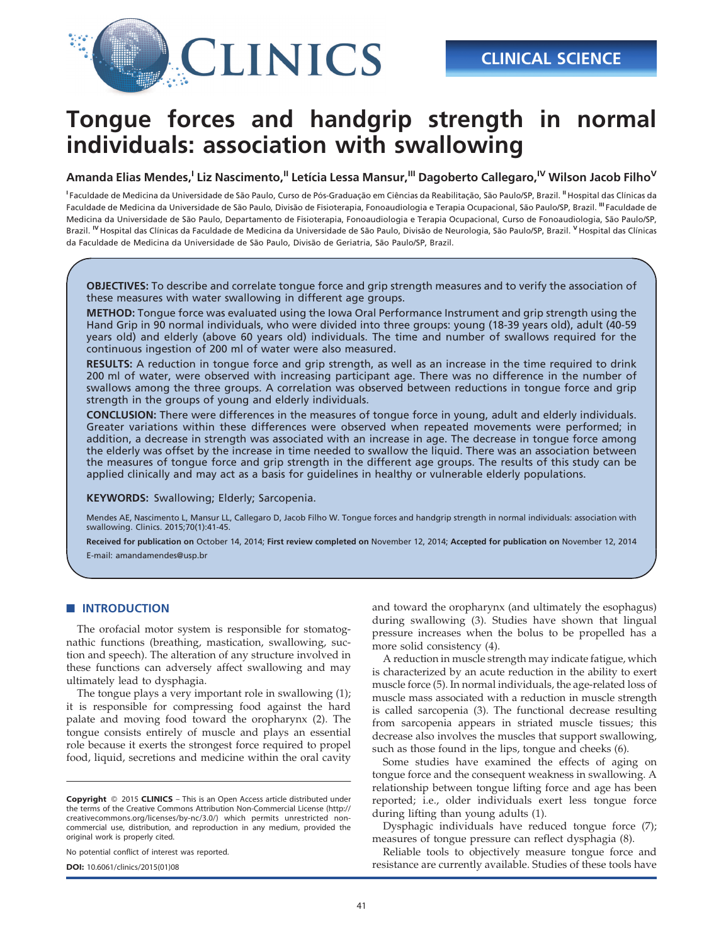

# Tongue forces and handgrip strength in normal individuals: association with swallowing

Amanda Elias Mendes,<sup>I</sup> Liz Nascimento,<sup>II</sup> Letícia Lessa Mansur,<sup>III</sup> Dagoberto Callegaro,<sup>IV</sup> Wilson Jacob Filho<sup>v</sup>

<sup>I</sup> Faculdade de Medicina da Universidade de São Paulo, Curso de Pós-Graduação em Ciências da Reabilitação, São Paulo/SP, Brazil. <sup>II</sup> Hospital das Clínicas da Faculdade de Medicina da Universidade de São Paulo, Divisão de Fisioterapia, Fonoaudiologia e Terapia Ocupacional, São Paulo/SP, Brazil. <sup>III</sup> Faculdade de Medicina da Universidade de São Paulo, Departamento de Fisioterapia, Fonoaudiologia e Terapia Ocupacional, Curso de Fonoaudiologia, São Paulo/SP, Brazil. <sup>IV</sup> Hospital das Clínicas da Faculdade de Medicina da Universidade de São Paulo, Divisão de Neurologia, São Paulo/SP, Brazil. <sup>V</sup> Hospital das Clínicas da Faculdade de Medicina da Universidade de São Paulo, Divisão de Geriatria, São Paulo/SP, Brazil.

OBJECTIVES: To describe and correlate tongue force and grip strength measures and to verify the association of these measures with water swallowing in different age groups.

METHOD: Tongue force was evaluated using the Iowa Oral Performance Instrument and grip strength using the Hand Grip in 90 normal individuals, who were divided into three groups: young (18-39 years old), adult (40-59 years old) and elderly (above 60 years old) individuals. The time and number of swallows required for the continuous ingestion of 200 ml of water were also measured.

RESULTS: A reduction in tongue force and grip strength, as well as an increase in the time required to drink 200 ml of water, were observed with increasing participant age. There was no difference in the number of swallows among the three groups. A correlation was observed between reductions in tongue force and grip strength in the groups of young and elderly individuals.

CONCLUSION: There were differences in the measures of tongue force in young, adult and elderly individuals. Greater variations within these differences were observed when repeated movements were performed; in addition, a decrease in strength was associated with an increase in age. The decrease in tongue force among the elderly was offset by the increase in time needed to swallow the liquid. There was an association between the measures of tongue force and grip strength in the different age groups. The results of this study can be applied clinically and may act as a basis for guidelines in healthy or vulnerable elderly populations.

KEYWORDS: Swallowing; Elderly; Sarcopenia.

Mendes AE, Nascimento L, Mansur LL, Callegaro D, Jacob Filho W. Tongue forces and handgrip strength in normal individuals: association with swallowing. Clinics. 2015;70(1):41-45.

Received for publication on October 14, 2014; First review completed on November 12, 2014; Accepted for publication on November 12, 2014 E-mail: amandamendes@usp.br

# **NUMBER** INTRODUCTION

The orofacial motor system is responsible for stomatognathic functions (breathing, mastication, swallowing, suction and speech). The alteration of any structure involved in these fu[nctions can adversely affect swallowing and may](#page-4-0) ultimate[ly lead to dysphagia.](#page-4-0)

The t[ongue plays a very important role in swallowing \(1\);](#page-4-0) it is res[ponsible for compressing food against the hard](#page-4-0) palate a[nd moving food toward the oropharynx \(2\). The](#page-4-0) tongue consists entirely of muscle and plays an essential role because it exerts the strongest force required to propel food, liquid, secretions and medicine within the oral cavity

Copyright © 2015 CLINICS - This is an Open Access article distributed under the terms of the Creative Commons Attribution Non-Commercial License (http:// creativecommons.org/licenses/by-nc/3.0/) which permits unrestricted noncommercial use, distribution, and reproduction in any medium, provided the original work is properly cited.

No potential conflict of interest was reported.

DOI: 10.6061/clinics/2015(01)08

and tow[ard the oropharynx \(and ul](#page-4-0)timately the esophagus) during swallowing (3). Studies have shown that lingual pressure increases when the bolus to be propelled has a [more](#page-4-0) solid consistenc[y \(4\).](#page-4-0)

A red[uction in muscle strength may indicate fatigue, which](#page-4-0) is chara[cterized by an acute reduction in the ability to exert](#page-4-0) muscle f[orce \(5\). In normal individuals, the age-related loss of](#page-4-0) muscle [mass associated with a reduction in muscle strength](#page-4-0) is calle[d sarcopenia \(3\). The functional decrease resulting](#page-4-0) from sarcopenia appears in striated muscle tissues; this decrease also involves the muscles that support swallowing, such as those found in the lips, tongue and cheeks (6).

Some studies have examined the effects of aging on tongue force and the consequent weakness [in](#page-4-0) swallowing. A relationship between tongue lifting force and age has been reporte[d; i.e., older individuals exert less tongue force](#page-4-0) during lifting than young adults (1).

Dysphagic individuals have reduced tongue force (7); measures of tongue pressure can reflect dysphagia (8).

Reliable tools to objectively measure tongue force and resistance are currently available. Studies of these tools have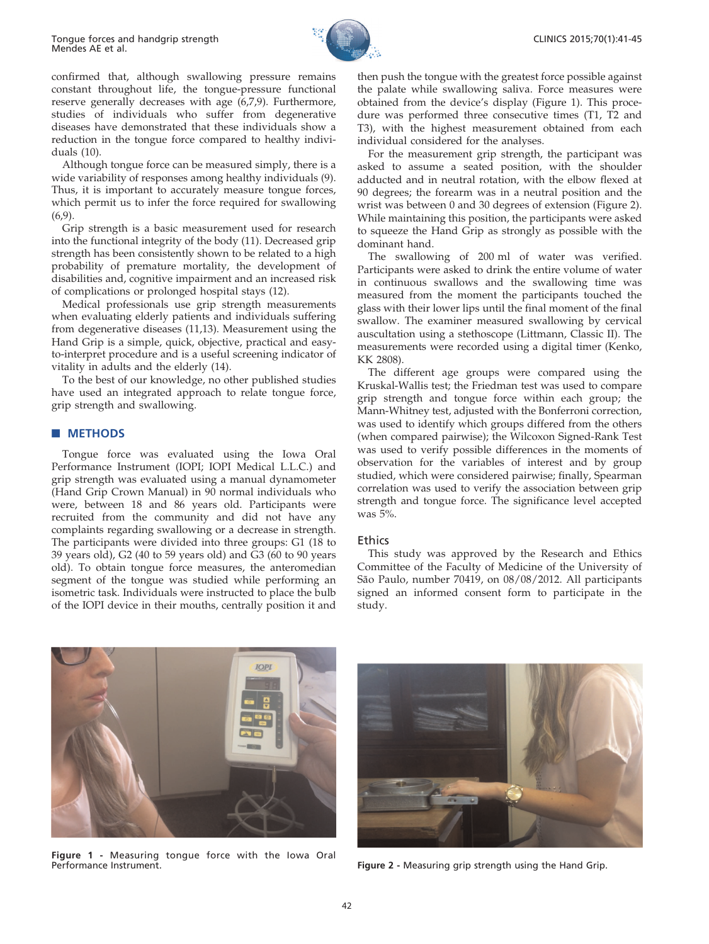

confirm[ed](#page-4-0) [that,](#page-4-0) [although](#page-4-0) [swallowing](#page-4-0) [pressure](#page-4-0) [remains](#page-4-0) constant [throughout life, the tongue-pressure functional](#page-4-0) reserve [generally](#page-4-0) [decreases](#page-4-0) [with](#page-4-0) [age](#page-4-0) [\(6,7,9\).](#page-4-0) [Furthermore,](#page-4-0) studies [of individ](#page-4-0)uals who suffer from degenerative diseases have demonstrated that these individuals show a reductio[n](#page-4-0) [in](#page-4-0) [the](#page-4-0) [tongue](#page-4-0) [force](#page-4-0) [compared](#page-4-0) [to](#page-4-0) [healthy](#page-4-0) [indivi](#page-4-0)duals (10).

Altho[ugh](#page-4-0) [tongue](#page-4-0) [force](#page-4-0) [can](#page-4-0) [be](#page-4-0) [measured](#page-4-0) [simply,](#page-4-0) [there](#page-4-0) [is](#page-4-0) [a](#page-4-0) wide va[riabili](#page-4-0)ty of responses among healthy individuals (9). Thus, it is important to accurately measure tongue forces, which p[ermit us to infer the force required for swallowing](#page-4-0)  $(6,9)$ .

Grip [strength is a basic measurement used for research](#page-4-0) into the [functional](#page-4-0) [integrity](#page-4-0) [of](#page-4-0) [the](#page-4-0) [body](#page-4-0) [\(11\).](#page-4-0) [Decreased](#page-4-0) [grip](#page-4-0) strength [has been consistently shown to be related to a high](#page-4-0) probability of premature mortality, the development of disabilities and, cognitive impairment and an increased risk of complications or prolonged hospi[tal stays \(12\).](#page-4-0)

Medic[al](#page-4-0) [professionals](#page-4-0) [use](#page-4-0) [grip](#page-4-0) [strength](#page-4-0) [measurements](#page-4-0) when e[valuating elderly patients and individuals suffering](#page-4-0) from de[generative diseases \(11,13\). Measurem](#page-4-0)ent using the Hand Grip is a simple, quick, objective, practical and easyto-interpret procedure and is a useful screening indicator of vitality in adults and the elderly (14).

To the best of our knowledge, no other published studies have used an integrated approach to relate tongue force, grip strength and swallowing.

# **METHODS**

Tongue force was evaluated using the Iowa Oral Performance Instrument (IOPI; IOPI Medical L.L.C.) and grip strength was evaluated using a manual dynamometer (Hand Grip Crown Manual) in 90 normal individuals who were, between 18 and 86 years old. Participants were recruited from the community and did not have any complaints regarding swallowing or a decrease in strength. The participants were divided into three groups: G1 (18 to 39 years old), G2 (40 to 59 years old) and G3 (60 to 90 years old). To obtain tongue force measures, the anteromedian segment of the tongue was studied while performing an isometric task. Individuals were instructed to place the bulb of the IOPI device in their mouths, centrally position it and then push the tongue with the greatest force possible against the palate while swallowing saliva. Force measures were obtained from the device's display (Figure 1). This procedure was performed three consecutive times (T1, T2 and T3), with the highest measurement obtained from each i[ndiv](#page-4-0)idual considered for the analyses.

For the measurement grip strength, the participant was asked to assume a seated position, with the shoulder adducted and in neutral rotation, with the elbow flexed at 90 degrees; the forearm was in a neutral position and the wrist was between 0 and 30 degrees of extension (Figure 2). While maintaining this position, the participants were asked to squeeze the Hand Grip as strongly as possible with the dominant hand.

The swallowing of 200 ml of water was verified. Participants were asked to drink the entire volume of water in continuous swallows and the swallowing time was measured from the moment the participants touched the glass with their lower lips until the final moment of the final swallow. The examiner measured swallowing by cervical auscultation using a stethoscope (Littmann, Classic II). The measurements were recorded using a digital timer (Kenko, KK 2808).

The different age groups were compared using the Kruskal-Wallis test; the Friedman test was used to compare grip strength and tongue force within each group; the Mann-Whitney test, adjusted with the Bonferroni correction, was used to identify which groups differed from the others (when compared pairwise); the Wilcoxon Signed-Rank Test was used to verify possible differences in the moments of observation for the variables of interest and by group studied, which were considered pairwise; finally, Spearman correlation was used to verify the association between grip strength and tongue force. The significance level accepted was 5%.

### **Ethics**

This study was approved by the Research and Ethics Committee of the Faculty of Medicine of the University of São Paulo, number 70419, on 08/08/2012. All participants signed an informed consent form to participate in the study.



Figure 1 - Measuring tongue force with the Iowa Oral Performance Instrument.



Figure 2 - Measuring grip strength using the Hand Grip.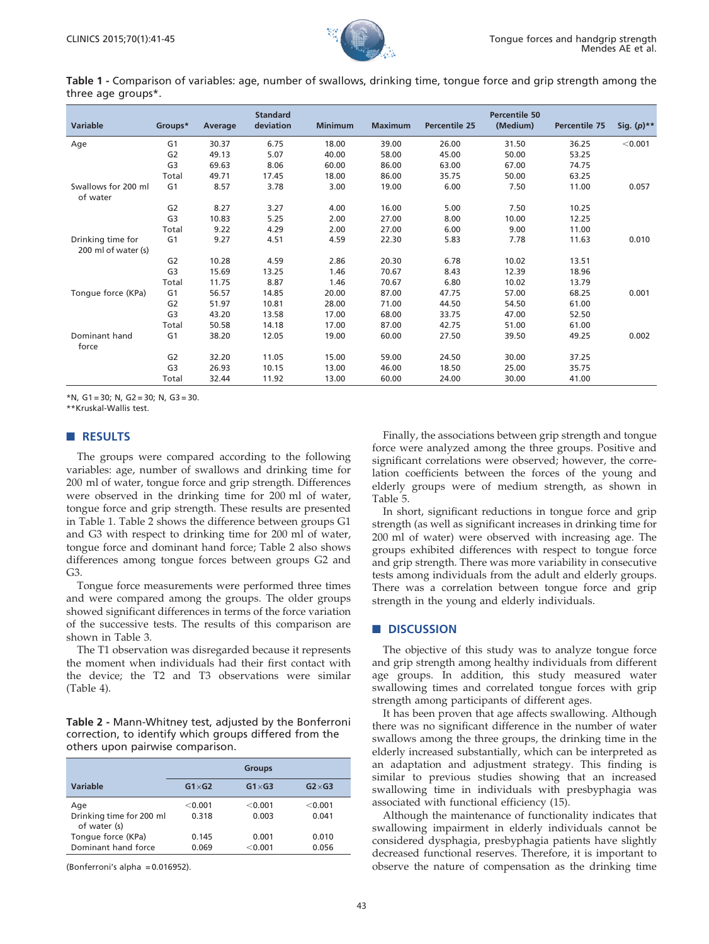

Table 1 - Comparison of variables: age, number of swallows, drinking time, tongue force and grip strength among the three age groups\*.

| Variable                                 | Groups*        | Average | <b>Standard</b><br>deviation | <b>Minimum</b> | <b>Maximum</b> | <b>Percentile 25</b> | Percentile 50<br>(Medium) | <b>Percentile 75</b> | Sig. $(p)$ ** |
|------------------------------------------|----------------|---------|------------------------------|----------------|----------------|----------------------|---------------------------|----------------------|---------------|
| Age                                      | G <sub>1</sub> | 30.37   | 6.75                         | 18.00          | 39.00          | 26.00                | 31.50                     | 36.25                | < 0.001       |
|                                          | G <sub>2</sub> | 49.13   | 5.07                         | 40.00          | 58.00          | 45.00                | 50.00                     | 53.25                |               |
|                                          | G <sub>3</sub> | 69.63   | 8.06                         | 60.00          | 86.00          | 63.00                | 67.00                     | 74.75                |               |
|                                          | Total          | 49.71   | 17.45                        | 18.00          | 86.00          | 35.75                | 50.00                     | 63.25                |               |
| Swallows for 200 ml<br>of water          | G <sub>1</sub> | 8.57    | 3.78                         | 3.00           | 19.00          | 6.00                 | 7.50                      | 11.00                | 0.057         |
|                                          | G <sub>2</sub> | 8.27    | 3.27                         | 4.00           | 16.00          | 5.00                 | 7.50                      | 10.25                |               |
|                                          | G <sub>3</sub> | 10.83   | 5.25                         | 2.00           | 27.00          | 8.00                 | 10.00                     | 12.25                |               |
|                                          | Total          | 9.22    | 4.29                         | 2.00           | 27.00          | 6.00                 | 9.00                      | 11.00                |               |
| Drinking time for<br>200 ml of water (s) | G <sub>1</sub> | 9.27    | 4.51                         | 4.59           | 22.30          | 5.83                 | 7.78                      | 11.63                | 0.010         |
|                                          | G <sub>2</sub> | 10.28   | 4.59                         | 2.86           | 20.30          | 6.78                 | 10.02                     | 13.51                |               |
|                                          | G <sub>3</sub> | 15.69   | 13.25                        | 1.46           | 70.67          | 8.43                 | 12.39                     | 18.96                |               |
|                                          | Total          | 11.75   | 8.87                         | 1.46           | 70.67          | 6.80                 | 10.02                     | 13.79                |               |
| Tongue force (KPa)                       | G <sub>1</sub> | 56.57   | 14.85                        | 20.00          | 87.00          | 47.75                | 57.00                     | 68.25                | 0.001         |
|                                          | G <sub>2</sub> | 51.97   | 10.81                        | 28.00          | 71.00          | 44.50                | 54.50                     | 61.00                |               |
|                                          | G <sub>3</sub> | 43.20   | 13.58                        | 17.00          | 68.00          | 33.75                | 47.00                     | 52.50                |               |
|                                          | Total          | 50.58   | 14.18                        | 17.00          | 87.00          | 42.75                | 51.00                     | 61.00                |               |
| Dominant hand<br>force                   | G <sub>1</sub> | 38.20   | 12.05                        | 19.00          | 60.00          | 27.50                | 39.50                     | 49.25                | 0.002         |
|                                          | G <sub>2</sub> | 32.20   | 11.05                        | 15.00          | 59.00          | 24.50                | 30.00                     | 37.25                |               |
|                                          | G <sub>3</sub> | 26.93   | 10.15                        | 13.00          | 46.00          | 18.50                | 25.00                     | 35.75                |               |
|                                          | Total          | 32.44   | 11.92                        | 13.00          | 60.00          | 24.00                | 30.00                     | 41.00                |               |

\*N, G1 = 30; N, G2 = 30; N, G3 = 30.

\*\*Kruskal-Wallis test.

# **RESULTS**

The groups were compared according to the following variables: age, number of swallows and drinking time for 200 ml of water, tongue force and grip strength. Differences were observed in the drinking time for 200 ml of water, tongue force and grip strength. These results are presented in Table 1. Table 2 shows the difference between groups G1 and G3 with respect to drinking time for 200 ml of water, tongue force and dominant hand force; Table 2 also shows differences among tongue forces between groups G2 and  $G<sub>3</sub>$ 

Tongue force measurements were performed three times and were compar[ed amon](#page-3-0)g the groups. The older groups showed significant differences in terms of the force variation of the successive tests. The results of this comparison are shown in Table 3.

The T1 [observat](#page-3-0)ion was disregarded because it represents the moment when individuals had their first contact with the device; the T2 and T3 observations were similar (Table 4).

Table 2 - Mann-Whitney test, adjusted by the Bonferroni correction, to identify which groups differed from the others upon pairwise comparison.

|                                          |                | <b>Groups</b>  |                |
|------------------------------------------|----------------|----------------|----------------|
| Variable                                 | $G1 \times G2$ | $G1 \times G3$ | $G2 \times G3$ |
| Age                                      | < 0.001        | < 0.001        | < 0.001        |
| Drinking time for 200 ml<br>of water (s) | 0.318          | 0.003          | 0.041          |
| Tongue force (KPa)                       | 0.145          | 0.001          | 0.010          |
| Dominant hand force                      | 0.069          | < 0.001        | 0.056          |

(Bonferroni's alpha = 0.016952).

Finally, the associations between grip strength and tongue force were analyzed among the three groups. Positive and significa[nt correl](#page-3-0)ations were observed; however, the correlation coefficients between the forces of the young and elderly groups were of medium strength, as shown in Table 5.

In short, significant reductions in tongue force and grip strength (as well as significant increases in drinking time for 200 ml of water) were observed with increasing age. The groups exhibited differences with respect to tongue force and grip strength. There was more variability in consecutive tests among individuals from the adult and elderly groups. There was a correlation between tongue force and grip strength in the young and elderly individuals.

#### **DISCUSSION**

The objective of this study was to analyze tongue force and grip strength among healthy individuals from different age groups. In addition, this study measured water swallowing times and correlated tongue forces with grip strength among participants of different ages.

It has been proven that age affects swallowing. Although there was no significant difference in the number of water swallows among the three groups, the drinking time in the elderly increased substantially, which can be interpreted as an adaptation and adjustment strategy. Th[is fi](#page-4-0)nding is similar to previous studies showing that an increased swallowing time in individuals with presbyphagia was associated with functional efficiency (15).

Although the maintenance of functionality indicates that swallowing impairment in elderly individuals cannot be considered dysphagia, presbyphagia patients have slightly decreased functional reserves. Therefore, it is important to observe the nature of compensation as the drinking time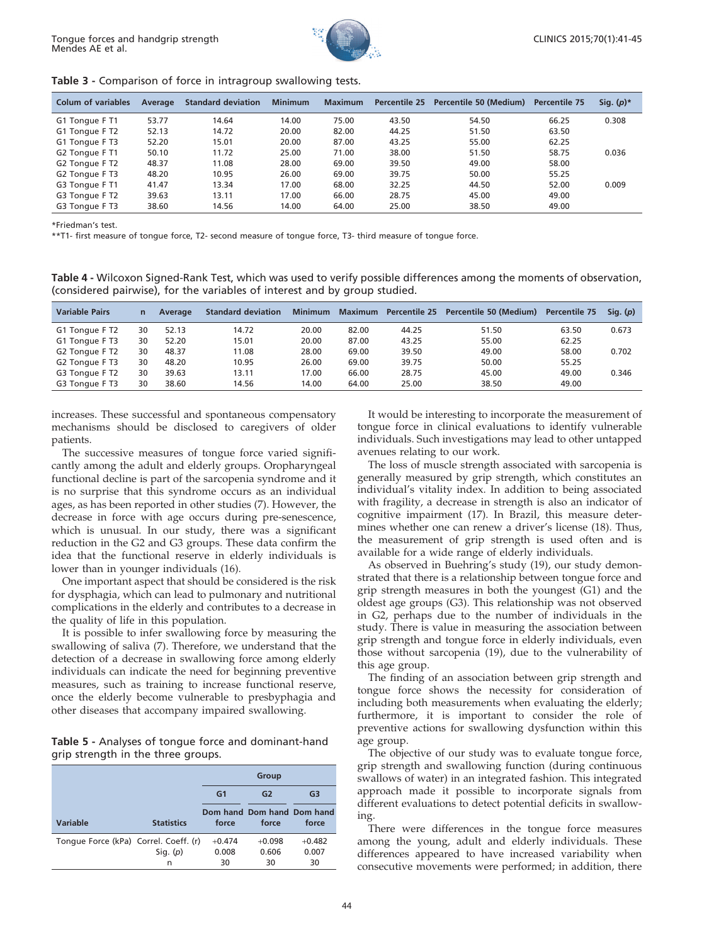

<span id="page-3-0"></span>

|  |  | Table 3 - Comparison of force in intragroup swallowing tests. |  |  |  |  |
|--|--|---------------------------------------------------------------|--|--|--|--|
|--|--|---------------------------------------------------------------|--|--|--|--|

| <b>Colum of variables</b> | Average | <b>Standard deviation</b> | <b>Minimum</b> | <b>Maximum</b> |       | Percentile 25 Percentile 50 (Medium) | <b>Percentile 75</b> | Sig. $(p)^*$ |
|---------------------------|---------|---------------------------|----------------|----------------|-------|--------------------------------------|----------------------|--------------|
| G1 Tonque F T1            | 53.77   | 14.64                     | 14.00          | 75.00          | 43.50 | 54.50                                | 66.25                | 0.308        |
| G1 Tonque F T2            | 52.13   | 14.72                     | 20.00          | 82.00          | 44.25 | 51.50                                | 63.50                |              |
| G1 Tonque F T3            | 52.20   | 15.01                     | 20.00          | 87.00          | 43.25 | 55.00                                | 62.25                |              |
| G2 Tonque F T1            | 50.10   | 11.72                     | 25.00          | 71.00          | 38.00 | 51.50                                | 58.75                | 0.036        |
| G2 Tonque F T2            | 48.37   | 11.08                     | 28.00          | 69.00          | 39.50 | 49.00                                | 58.00                |              |
| G2 Tonque F T3            | 48.20   | 10.95                     | 26.00          | 69.00          | 39.75 | 50.00                                | 55.25                |              |
| G3 Tonque F T1            | 41.47   | 13.34                     | 17.00          | 68.00          | 32.25 | 44.50                                | 52.00                | 0.009        |
| G3 Tonque F T2            | 39.63   | 13.11                     | 17.00          | 66.00          | 28.75 | 45.00                                | 49.00                |              |
| G3 Tonque F T3            | 38.60   | 14.56                     | 14.00          | 64.00          | 25.00 | 38.50                                | 49.00                |              |

\*Friedman's test.

\*\*T1- first measure of tongue force, T2- second measure of tongue force, T3- third measure of tongue force.

Table 4 - Wilcoxon Signed-Rank Test, which was used to verify possible differences among the moments of observation, (considered pairwise), for the variables of interest and by group studied.

| <b>Variable Pairs</b> | n  | Average | <b>Standard deviation</b> | <b>Minimum</b> |       |       | Maximum Percentile 25 Percentile 50 (Medium) | <b>Percentile 75</b> | Sig. $(p)$ |
|-----------------------|----|---------|---------------------------|----------------|-------|-------|----------------------------------------------|----------------------|------------|
| G1 Tongue F T2        | 30 | 52.13   | 14.72                     | 20.00          | 82.00 | 44.25 | 51.50                                        | 63.50                | 0.673      |
| G1 Tonque F T3        | 30 | 52.20   | 15.01                     | 20.00          | 87.00 | 43.25 | 55.00                                        | 62.25                |            |
| G2 Tongue F T2        | 30 | 48.37   | 11.08                     | 28.00          | 69.00 | 39.50 | 49.00                                        | 58.00                | 0.702      |
| G2 Tonque F T3        | 30 | 48.20   | 10.95                     | 26.00          | 69.00 | 39.75 | 50.00                                        | 55.25                |            |
| G3 Tongue F T2        | 30 | 39.63   | 13.11                     | 17.00          | 66.00 | 28.75 | 45.00                                        | 49.00                | 0.346      |
| G3 Tonque F T3        | 30 | 38.60   | 14.56                     | 14.00          | 64.00 | 25.00 | 38.50                                        | 49.00                |            |

increases. These successful and spontaneous compensatory mechanisms should be disclosed to caregivers of older patients.

The successive measures of tongue force varied significantly among the adult and elderly groups. Oroph[aryngeal](#page-4-0) function[al decline is part of the sarcopenia syndrome and it](#page-4-0) is no su[rprise that this syndrome occurs as an individual](#page-4-0) ages, as [has been reported in other studies \(7\). However, the](#page-4-0) decrease [in force with age occurs during pre-senescence,](#page-4-0) which i[s unusual. In our study, there was a](#page-4-0) significant reduction in the G2 and G3 groups. These data confirm the idea that the functional reserve in elderly individuals is lower than in younger individuals (16).

One important aspect that should be considered is the risk for dysphagia, which can lead to pulmonary and nutritional complications in the elderly an[d contributes to a decrease in](#page-4-0) the qual[ity of life in this population.](#page-4-0)

It is p[ossible to infer swallowing force by measuring the](#page-4-0) swallow[ing of saliva \(7\). Therefore, we understand that the](#page-4-0) detectio[n of a decrease in swallowing force among elderly](#page-4-0) individu[als can indicate the need for beginning preventive](#page-4-0) measures, such as training to increase functional reserve, once the elderly become vulnerable to presbyphagia and other diseases that accompany impaired swallowing.

|  |  |                                    | <b>Table 5 -</b> Analyses of tongue force and dominant-hand |  |
|--|--|------------------------------------|-------------------------------------------------------------|--|
|  |  | grip strength in the three groups. |                                                             |  |

|                                       |                   |                | Group                      |                |
|---------------------------------------|-------------------|----------------|----------------------------|----------------|
|                                       |                   | G <sub>1</sub> | G2                         | G <sub>3</sub> |
|                                       |                   |                | Dom hand Dom hand Dom hand |                |
| Variable                              | <b>Statistics</b> | force          | force                      | force          |
| Tongue Force (kPa) Correl. Coeff. (r) |                   | $+0.474$       | $+0.098$                   | $+0.482$       |
|                                       | Sig. $(p)$        | 0.008          | 0.606                      | 0.007          |
|                                       | n                 | 30             | 30                         | 30             |

It would be interesting to incorporate the measurement of tongue force in clinical evaluations to identify vulnerable individuals. Such investigations may lead to other untapped avenues relating to our work.

The loss of muscle strength associated with sarcopenia is generally measured by grip str[ength, which constitutes an](#page-4-0) individu[al's](#page-4-0) [vitality](#page-4-0) [index.](#page-4-0) [In](#page-4-0) [addition](#page-4-0) [to](#page-4-0) [being](#page-4-0) [associated](#page-4-0) with fra[gility, a decrease in strength is also an indicator of](#page-4-0) cognitiv[e](#page-4-0) [impairment](#page-4-0) [\(17\).](#page-4-0) [In](#page-4-0) [Brazil,](#page-4-0) [this](#page-4-0) [measure](#page-4-0) [deter](#page-4-0)mines whether one can renew a driver's lice[nse \(18\). Thus,](#page-4-0) the mea[surement of grip strength is used often and is](#page-4-0) availabl[e for a wide range of elderly individuals.](#page-4-0)

As ob[served in Buehring's study \(19\), our study demon](#page-4-0)strated t[hat](#page-4-0) [there](#page-4-0) [is](#page-4-0) [a](#page-4-0) [relationship](#page-4-0) [between](#page-4-0) [tongue](#page-4-0) [force](#page-4-0) [and](#page-4-0) grip str[ength measures in both the youngest \(G1\) and the](#page-4-0) oldest a[ge](#page-4-0) [groups](#page-4-0) [\(G3\).](#page-4-0) [This](#page-4-0) [relationship](#page-4-0) [was](#page-4-0) [not](#page-4-0) [observed](#page-4-0) in G2, [perhaps due to the number of individuals in the](#page-4-0) study. T[here](#page-4-0) [is](#page-4-0) [value](#page-4-0) [in](#page-4-0) measuring the association between grip strength and tongue force in elderly individuals, even those without sarcopenia (19), due to the vulnerability of this age group.

The finding of an association between grip strength and tongue force shows the necessity for consideration of including both measurements when evaluating the elderly; furthermore, it is important to consider the role of preventive actions for swallowing dysfunction within this age group.

The objective of our study was to evaluate tongue force, grip strength and swallowing function (during continuous swallows of water) in an integrated fashion. This integrated approach made it possible to incorporate signals from different evaluations to detect potential deficits in swallowing.

There were differences in the tongue force measures among the young, adult and elderly individuals. These differences appeared to have increased variability when consecutive movements were performed; in addition, there